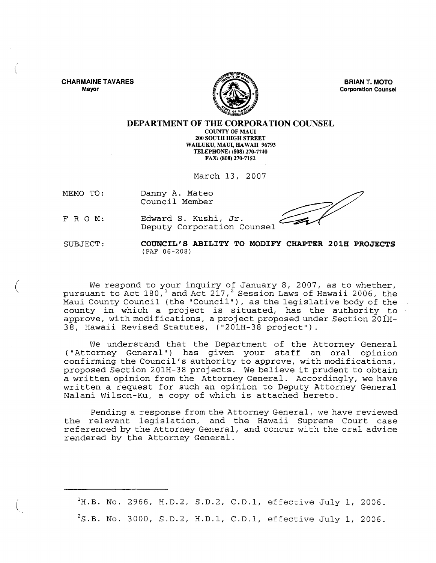CHARMAINE TAVARES Mayor



BRIAN T. MOTO Corporation Counsel

## DEPARTMENT OF THE CORPORATION COUNSEL

COUNTY OF MAUl 200 SOUTH mGH STREET WAILUKU, MAUl, HAWAII 96793 TELEPHONE: (808) 270-7740 FAX: (808) 270-7152

March 13, 2007

MEMO TO: Danny A. Mateo Council Member

FRO M: Edward S. Kushi, Jr. Deputy Corporation Counsel

SUBJECT:

 $\left(\right)$ 

## COUNCIL'S ABILITY TO MODIFY CHAPTER 201H PROJECTS (PAF 06-208)

We respond to your inquiry of January 8, 2007, as to whether, pursuant to Act  $180<sup>1</sup>$  and Act  $217<sup>2</sup>$  Session Laws of Hawaii 2006, the Maui County Council (the "Council"), as the legislative body of the county in which a project is situated, has the authority to approve, with modifications, a project proposed under Section 20iH-38, Hawaii Revised Statutes, ("201H-38 project").

We understand that the Department of the Attorney General ("Attorney General") has given your staff an oral opinion confirming the Council's authority to approve, with modifications, proposed Section 201H-38 projects. We believe it prudent to obtain a written opinion from the Attorney General. Accordingly, we have written a request for such an opinion to Deputy Attorney General Nalani Wilson-Ku, a copy of which is attached hereto.

Pending a response from the Attorney General, we have reviewed the relevant legislation, and the Hawaii Supreme Court case referenced by the Attorney General, and concur with the oral advice rendered by the Attorney General.

 $h$ <sup>1</sup>H.B. No. 2966, H.D.2, S.D.2, C.D.1, effective July 1, 2006.  $2^2$ S.B. No. 3000, S.D.2, H.D.1, C.D.1, effective July 1, 2006.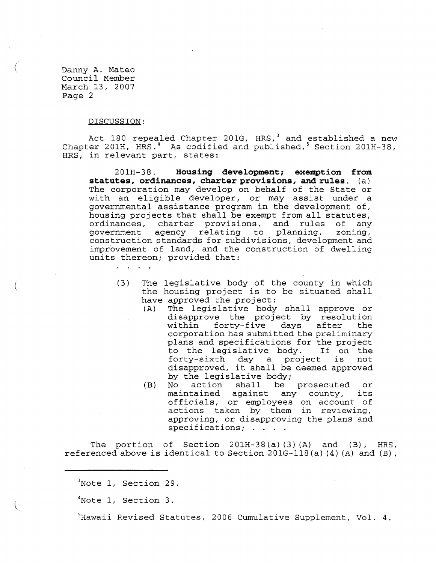(

 $\left(\right)$ 

 $\left(\right)$ 

## DISCUSSION:

 $\mathbf{r}$  and  $\mathbf{r}$ 

Act 180 repealed Chapter 201G, HRS, $3$  and established a new Chapter 201H, HRS.<sup>4</sup> As codified and published, <sup>5</sup> Section 201H-38, HRS, in relevant part, states:

201H-38. **Housing development; exemption from statutes, ordinances, charter provisions, and rules.** (a) The corporation may develop on behalf of the State or with an eligible developer, or may assist under a governmental assistance program in the development of, housing projects that shall be exempt from all statutes,<br>ordinances, charter provisions, and rules of any ordinances, charter provisions, and rules of any<br>government agency relating to planning, zoning, agency relating to planning, construction standards for subdivisions, development and improvement of land, and the construction of dwelling units thereon; provided that:

- (3) The legislative body of the county in which the housing project is to be situated shall have approved the project:<br>(A) The legislative body
	- The legislative body shall approve or disapprove the project by resolution<br>within forty-five days after the days after corporation has submitted the preliminary plans and specifications for the project<br>to the legislative body. If on the to the legislative body. If on the<br>forty-sixth day a project is not forty-sixth day a project disapproved, it shall be deemed approved by the legislative body;<br>No action shall be
	- (B) No action shall be prosecuted or<br>maintained against any county, its any county, officials, or employees on account of actions taken by them in reviewing, approving, or disapproving the plans and specifications; . . . .

The portion of Section  $201H-38(a)(3)(A)$  and  $(B)$ , HRS, referenced above is identical to Section 201G-118 (a) (4) (A) and (B) ,

 $3$ Note 1, Section 29.

4Note 1, Section 3.

<sup>5</sup>Hawaii Revised Statutes, 2006 Cumulative Supplement, Vol. 4.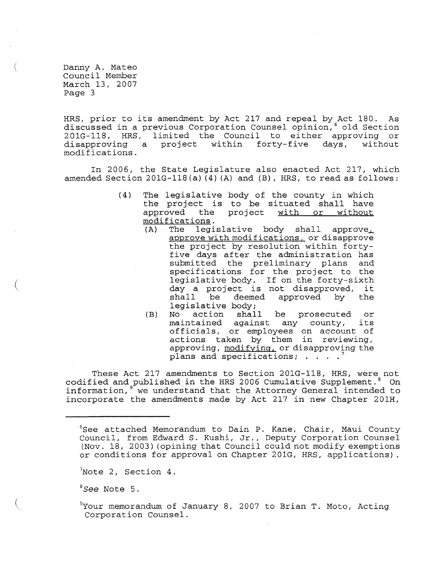(

HRS, prior to its amendment by Act 217 and repeal by Act 180. As discussed in a previous Corporation Counsel opinion, 6 old Section 201G-118, HRS, limited the Council to either approving or<br>disapproving a project within forty-five days, without disapproving a modifications.

In 2006, the State Legislature also enacted Act 217, which amended Section  $201G-118(a) (4) (A)$  and  $(B)$ , HRS, to read as follows:

- (4) The legislative body of the county in which the project is to be situated shall have<br>approved the project with or without with or modifications.<br>(A) The legi
	- legislative body shall approve<sub> $\perp$ </sub> approve with modifications, or disapprove the project by resolution within fortyfive days after the administration has submitted the preliminary plans and specifications for the project to the legislative body. If on the forty-sixth day a project is not disapproved, it<br>day a project is not disapproved, it shall be deemed approved by the shall be deemed<br>legislative body;<br>No action shall
	- (B) No action shall be prosecuted or<br>maintained against any county, its maintained against any county, officials, or employees on account of actions taken by them in reviewing, approving, modifying, or disapproving the plans and specifications; . . . .

These Act 217 amendments to Section 201G-118, HRS, were not codified and published in the HRS 2006 Cumulative Supplement.<sup>8</sup> On information, <sup>9</sup> we understand that the Attorney General intended to incorporate the amendments made by Act 217 in new Chapter 201H,

*<sup>8</sup> See* Note 5.

<sup>&</sup>lt;sup>6</sup>See attached Memorandum to Dain P. Kane, Chair, Maui County Council, from Edward S. Kushi, Jr., Deputy Corporation Counsel (Nov. 18, 2003) (opining that Council could not modify exemptions or conditions for approval on Chapter 201G, HRS, applications).

 $7$ Note 2, Section 4.

 $^{9}$ Your memorandum of January 8, 2007 to Brian T. Moto, Acting Corporation Counsel.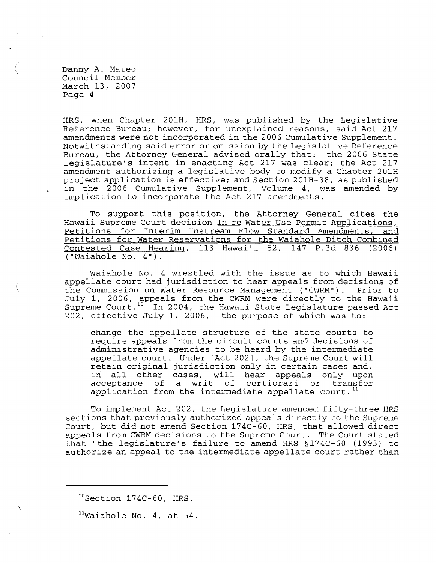(

(

HRS, when Chapter 201H, HRS, was published by the Legislative Reference Bureau; however, for unexplained reasons, said Act 217 amendments were not incorporated in the 2006 Cumulative Supplement. Notwithstanding said error or omission by the Legislative Reference Bureau, the Attorney General advised orally that: the 2006 State Legislature's intent in enacting Act 217 was clear; the Act 217 amendment authorizing a legislative body to modify a Chapter 201H proj ect application is effective; and Section 201H-38, as published in the 2006 Cumulative Supplement, Volume 4, was amended by implication to incorporate the Act 217 amendments.

To support this position, the Attorney General cites the Hawaii Supreme Court decision In re Water Use Permit Applications,<br>Petitions for Interim Instream Flow Standard Amendments, and Petitions for Interim Instream Flow Standard Amendments, Petitions for Water Reservations for the Waiahole Ditch Combined Contested Case Hearing, 113 Hawai'i 52, 147 P.3d 836 (2006) ("Waiahole No.4").

Waiahole No. 4 wrestled with the issue as to which Hawaii appellate court had jurisdiction to hear appeals from decisions of<br>the Commission on Water Resource Management ("CWRM"). Prior to the Commission on Water Resource Management ("CWRM"). July 1, 2006, appeals from the CWRM were directly to the Hawaii Supreme Court.<sup>10</sup> In 2004, the Hawaii State Legislature passed Act 202, effective July 1, 2006, the purpose of which was to:

change the appellate structure of the state courts to require appeals from the circuit courts and decisions of administrative agencies to be heard by the intermediate appellate court. Under [Act 202], the Supreme Court will retain original jurisdiction only in certain cases and, in all other cases, will hear appeals only upon In air cener cases, will hear appears only apon<br>acceptance of a writ of certiorari or transfer application from the intermediate appellate court.<sup>11</sup>

To implement Act 202, the Legislature amended fifty-three HRS sections that previously authorized appeals directly to the Supreme Court, but did not amend Section 174C-60, HRS, that allowed direct appeals from CWRM decisions to the Supreme Court. The Court stated that "the legislature's failure to amend HRS §174C-60 (1993) to authorize an appeal to the intermediate appellate court rather than

 $11$ Waiahole No. 4, at 54.

 $^{10}$ Section 174C-60, HRS.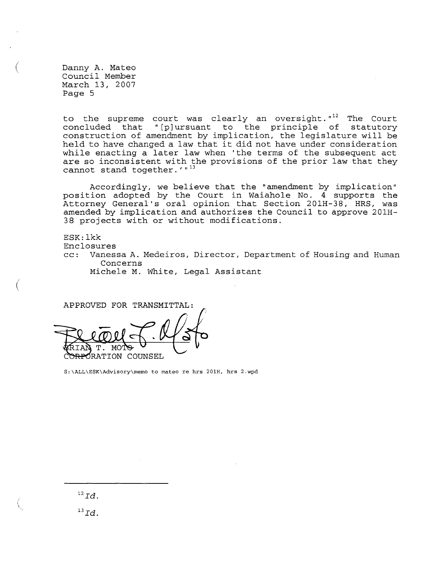(

 $\left($ 

to the supreme court was clearly an oversight.  $12$  The Court concluded that "[p]ursuant to the principle of statutory construction of amendment by implication, the legislature will be held to have changed a law that it did not have under consideration while enacting a later law when 'the terms of the subsequent act are so inconsistent with the provisions of the prior law that they cannot stand together.'"<sup>13</sup>

Accordingly, we believe that the "amendment by implication" posi tion adopted by the Court in Waiahole No. 4 supports the Attorney General's oral opinion that Section 201H-38, HRS, was amended by implication and authorizes the Council to approve 201H-38 projects with or without modifications.

ESK: lkk

Enclosures

cc: Vanessa A. Medeiros, Director, Department of Housing and Human Concerns

Michele M. White, Legal Assistant

APPROVED FOR TRANSMITTAL: ORATION COUNSEL

S:\ALL\ESK\Advisory\memo to mateo re hrs 201H, hrs 2.wpd

*12 Id.* 

 $^{13}Id.$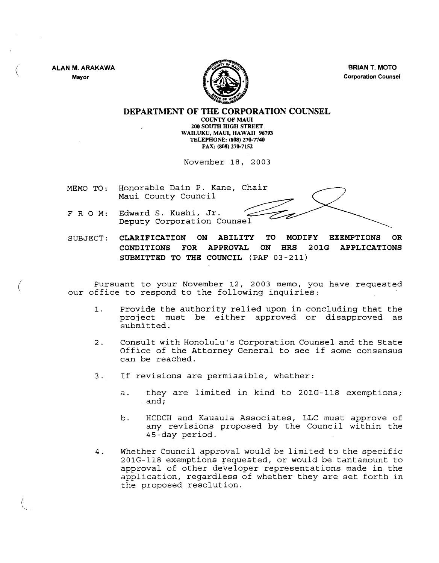ALAN M. ARAKAWA Mayor

(

 $\langle$ 



BRIAN T. MOTO Corporation Counsel

## DEPARTMENT OF THE CORPORATION COUNSEL

COUNTY OF MAUl 200 SOUTH HIGH STREET WAILUKU, MAUl, HAWAII 96793 TELEPHONE: (808) 270-7740 FAX: (808) 270-7152

November 18, 2003

MEMO TO: Honorable Dain P. Kane, Chair Maui County Council

- FRO M: Edward S. Kushi, Jr. Deputy Corporation Counsel
- SUBJECT: CLARIFICATION ON ABILITY TO MODIFY EXEMPTIONS OR CONDITIONS FOR APPROVAL ON HRS 201G APPLICATIONS SUBMITTED TO THE COUNCIL (PAF 03-211)

Pursuant to your November 12, 2003 memo, you have requested our office to respond to the following inquiries:

- 1. Provide the authority relied upon in concluding that the project must be either approved or disapproved as submitted.
- 2. Consult with Honolulu's Corporation Counsel and the State Office of the Attorney General to see if some consensus can be reached.
- 3. If revisions are permissible, whether:
	- a. they are limited in kind to 201G-118 exemptions; and;
	- b. HCDCH and Kauaula Associates, LLC must approve of any revisions proposed by the Council within the 4S-day period.
- 4. Whether Council approval would be limited to the specific  $201G-118$  exemptions requested, or would be tantamount to approval of other developer representations made in the application, regardless of whether they are set forth in the proposed resolution.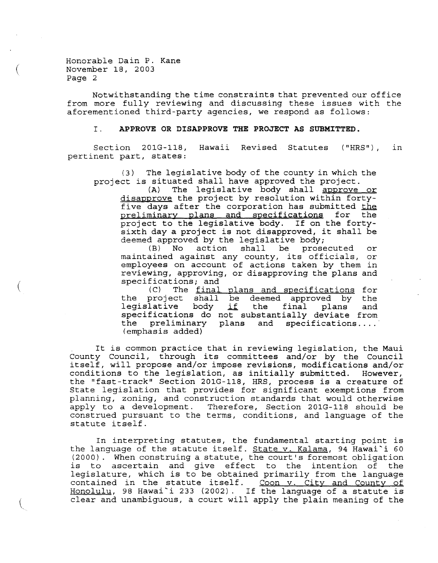Honorable Dain P. Kane November 18, 2003 Page 2

 $\left($ 

 $\left($ 

Notwithstanding the time constraints that prevented our office from more fully reviewing and discussing these issues with the aforementioned third-party agencies, we respond as follows:

### I. **APPROVE OR DISAPPROVE THE PROJECT AS SUBMITTED.**

Section 201G-118, Hawaii Revised Statutes ("HRS") , in pertinent part, states:

(3) The legislative body of the county in which the project is situated shall have approved the project.<br>(A) The legislative body shall approve

The legislative body shall approve or disapprove the project by resolution within fortyfive days after the corporation has submitted the preliminary plans and specifications for the project to the legislative body. If on the fortysixth day a project is not disapproved, it shall be deemed approved by the legislative body;

(B) No action shall be prosecuted or (B) No action shall be prosecuted or maintained against any county, its officials, or employees on account of actions taken by them in reviewing, approving, or disapproving the plans and specifications; and<br>(C) The final

(C) The <u>final plans and specifications</u> for the project shall be deemed approved by the deemed approved by the<br>the final plans and the project shall be<br>legislative body <u>if</u> specifications do not substantially deviate from the preliminary (emphasis added) and specifications ....

It is common practice that in reviewing legislation, the Maui County Council, through its committees and/or by the Council itself, will propose and/or impose revisions, modifications and/or conditions to the legislation, as initially submitted. However, the "fast-track" Section 201G-118, HRS, process is a creature of State legislation that provides for significant exemptions from planning, zoning, and construction standards that would otherwise apply to a development. Therefore, Section 201G-118 should be construed pursuant to the terms, conditions, and language of the statute itself.

In interpreting statutes, the fundamental starting point is the language of the statute itself. State v. Kalama, 94 Hawai'i 60 (2000). When construing a statute, the court's foremost obligation is to ascertain and give effect to the intention of the legislature, which is to be obtained primarily from the language registature, which is to be obtained primarily from the language<br>contained in the statute itself. Coon v. City and County of Concained in the Statute Itself. <u>Cook victey and County Of</u><br>Honolulu, 98 Hawai`i 233 (2002). If the language of a statute is clear and unambiguous, a court will apply the plain meaning of the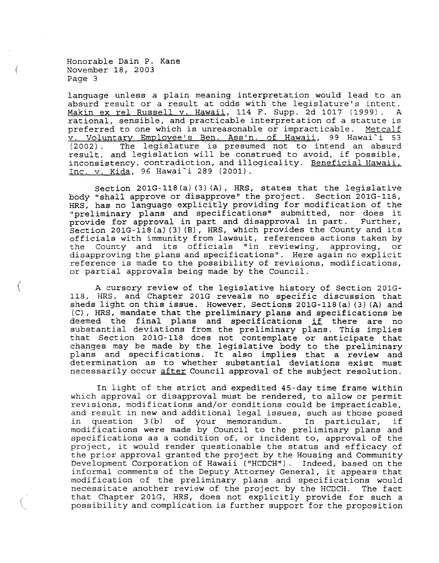Honorable Dain P. Kane November 18, 2003 Page 3

(

 $\langle$ 

language unless a plain meaning interpretation would lead to an absurd result or a result at odds with the legislature's intent. Makin ex rel Russell v. Hawaii, 114 F. Supp. 2d 1017 (1999). A rational, sensible, and practicable interpretation of a statute is racionar, Sensisie, and praceicasie incorpredation of a seacuce is<br>preferred to one which is unreasonable or impracticable. Metcalf v. Voluntary Employee's Ben. Ass'n. of Hawaii, 99 Hawai'i 53 (2002) . The legislature is presumed not to intend an absurd result, and legislation will be construed to avoid, if possible, inconsistency, contradiction, and illogicality. Beneficial Hawaii, Inc. v. Kida, 96 Hawai'i 289 (2001).

Section 201G-118 (a) (3) (A), HRS, states that the legislative body "shall approve or disapprove" the project. Section 201G-118, HRS, has no language explicitly providing for modification of the "preliminary plans and specifications" submitted, nor does it provide for approval in part and disapproval in part. Further, Section 201G-118 (a) (3) (B), HRS, which provides the County and its officials with immunity from lawsuit, references actions taken by<br>the County and its officials "in reviewing, approving, or the County and its officials "in reviewing, disapproving the plans and specifications". Here again no explicit reference is made to the possibility of revisions, modifications, or partial approvals being made by the Council.

A cursory review of the legislative history of Section 201G-118, HRS, and Chapter 201G reveals no specific discussion that sheds light on this issue. However, Sections 201G-118(a) (3) (A) and (C), HRS, mandate that the preliminary plans and specifications be deemed the final plans and specifications if there are no substantial deviations from the preliminary plans. This implies that Section 201G-118 does not contemplate or anticipate that changes may be made by the legislative body to the preliminary plans and specifications. It also implies that a review and determination as to whether substantial deviations exist must necessarily occur after Council approval of the subject resolution.

In light of the strict and expedited 4S-day time frame within which approval or disapproval must be rendered, to allow or permit revisions, modifications and/or conditions could be impracticable, and result in new and additional legal issues, such as those posed in question 3(b) of your memorandum. In particular, if modifications were made by Council to the preliminary plans and specifications as a condition of, or incident to, approval of the project, it would render questionable the status and efficacy of the prior approval granted the project by the Housing and Community Development Corporation of Hawaii ("HCDCH"). Indeed, based on the informal comments of the Deputy Attorney General, it appears that modification of the preliminary plans and specifications would necessitate another review of the project by the HCDCH. The fact that Chapter 201G, HRS, does not explicitly provide for such a possibility and complication is further support for the proposition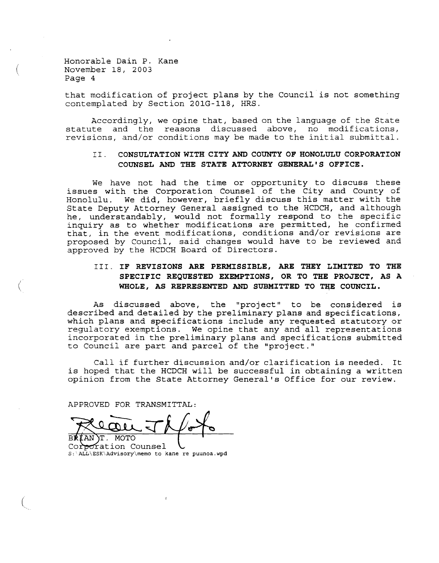Honorable Dain P. Kane November 18, 2003 Page 4

 $\left($ 

 $\left($ 

that modification of project plans by the Council is not something contemplated by Section 201G-118, HRS.

Accordingly, we opine that, based on the language of the State statute and the reasons discussed above, no modifications, revisions, and/or conditions may be made to the initial submittal.

## I I .. **CONSULTATION WITH CITY AND COUNTY OF HONOLULU CORPORATION COUNSEL AND THE STATE ATTORNEY GENERAL'S OFFICE.**

We have not had the time or opportunity to discuss these issues with the Corporation Counsel of the City and County of<br>Honolulu. We did, however, briefly discuss this matter with the We did, however, briefly discuss this matter with the State Deputy Attorney General assigned to the HCDCH, and although he, understandably, would not formally respond to the specific inquiry as to whether modifications are permitted, he confirmed that, in the event modifications, conditions and/or revisions are proposed by Council, said changes would have to be reviewed and approved by the HCDCH Board of Directors.

## III. IF REVISIONS ARE PERMISSIBLE, ARE THEY LIMITED TO THE **SPECIFIC REQUESTED EXEMPTIONS, OR TO THE PROJECT, AS A**  WHOLE, AS REPRESENTED AND SUBMITTED TO THE COUNCIL.

As discussed above, the "project" to be considered is described and detailed by the preliminary plans and specifications, which plans and specifications include any requested statutory or regulatory exemptions. We opine that any and all representations incorporated in the preliminary plans and specifications submitted to Council are part and parcel of the "project."

Call if further discussion and/or clarification is needed. It is hoped that the HCDCH will be successful in obtaining a written opinion from the State Attorney General's Office for our review.

APPROVED FOR TRANSMITTAL:

f ANT **RR** 

BR(AN)T. MOTO = ===<br>Cor<del>po</del>ration Counsel S:'ALL\ESK\Advisory\memo to kane re puunoa.wpd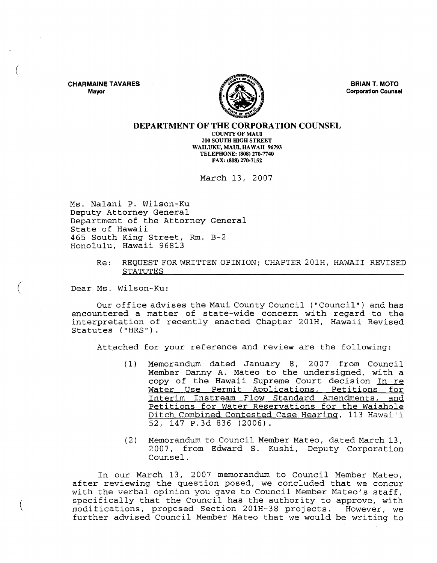CHARMAINE TAVARES Mayor

(

 $\big($ 

 $\left(\right)$ 



BRIAN T. MOTO Corporation Counsel

### DEPARTMENT OF THE CORPORATION COUNSEL

COUNTY OF MAUl 200 SOUTH HIGH STREET WAILUKU, MAUI, HAWAII 96793 TELEPHONE: (808) 270-7740 FAX: (808) 270-7152

March 13, 2007

Ms. Nalani P. Wilson-Ku Deputy Attorney General Department of the Attorney General State of Hawaii 465 South King Street, Rm. B-2 Honolulu, Hawaii 96813

> Re: REQUEST FOR WRITTEN OPINION; CHAPTER 201H, HAWAII REVISED STATUTES

Dear Ms. Wilson-Ku:

Our office advises the Maui County Council ("Council") and has encountered a matter of state-wide concern with regard to the interpretation of recently enacted Chapter 201H, Hawaii Revised Statutes ("HRS").

Attached for your reference and review are the following:

- (1) Memorandum dated January 8, 2007 from Council Member Danny A. Mateo to the undersigned, with a copy of the Hawaii Supreme Court decision In re Water Use Permit Applications, Petitions for Interim Instream Flow Standard Amendments, and Petitions for Water Reservations for the Waiahole Ditch Combined Contested Case Hearing, 113 Hawai'i 52, 147 p.3d 836 (2006).
- (2) Memorandum to Council Member Mateo, dated March 13, 2007, from Edward S. Kushi, Deputy Corporation Counsel.

In our March 13, 2007 memorandum to Council Member Mateo, after reviewing the question posed, we concluded that we concur with the verbal opinion you gave to Council Member Mateo's staff, specifically that the Council has the authority to approve, with modifications, proposed Section 201H-38 projects. However, we further advised Council Member Mateo that we would be writing to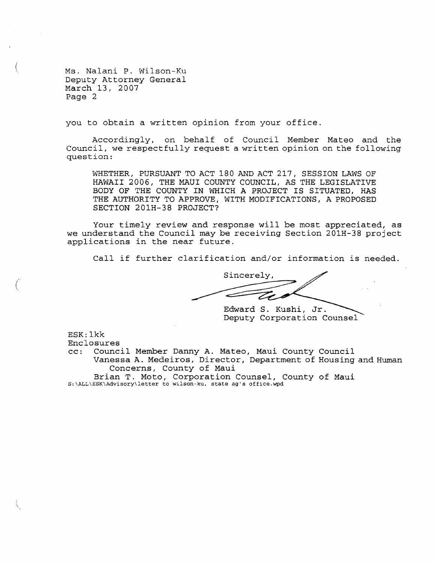Ms. Nalani P. Wilson-Ku Deputy Attorney General March 13, 2007 Page 2

 $\langle$ 

 $\binom{n}{k}$ 

you to obtain a written opinion from your office.

Accordingly, on behalf of Council Member Mateo and the Council, we respectfully request a written opinion on the following question:

WHETHER, PURSUANT TO ACT 180 AND ACT 217, SESSION LAWS OF HAWAII 2006, THE MAUl COUNTY COUNCIL, AS THE LEGISLATIVE BODY OF THE COUNTY IN WHICH A PROJECT IS SITUATED, HAS THE AUTHORITY TO APPROVE, WITH MODIFICATIONS, A PROPOSED SECTION 201H-38 PROJECT?

Your timely review and response will be most appreciated, as we understand the Council may be receiving Section 201H-38 project applications in the near future.

Call if further clarification and/or information is needed.

Sincerely,

Edward S. Kushi, Jr. Deputy Corporation Counsel

ESK: lkk

Enclosures<br>cc: Counc:

Council Member Danny A. Mateo, Maui County Council Vanessa A. Medeiros, Director, Department of Housing and Human Concerns, County of Maui

Brian T. Moto, Corporation Counsel, County of Maui S:\ALL\ESK\Advisory\letter to wilson-ku, state ag's office.wpd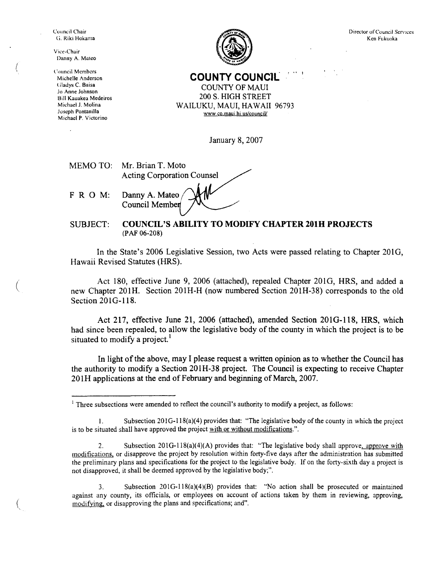Council Chair (i. Riki Hokuma

Vice-Chair Danny A. Mateo

(\llIllCil Members Michelle Anderson Gladys C. Baisa Jo Anne Johnson Bill Kauakea Medeiros Michael J. Molina Juseph Pontanilla Michael P. Victorino



Director of Council Services Ken Fukuoka

**COUNTY COUNC1L** 

! .. <sup>I</sup>

COUNTY OF MAUl 200 S. HIGH STREET WAILUKU, MAUl, HAWAII 96793 www.co.maui.hi.us/councill

January 8, 2007

| MEMO TO: Mr. Brian T. Moto        |
|-----------------------------------|
| <b>Acting Corporation Counsel</b> |
|                                   |

Danny A. Mateo Council Membe

FROM:

(

 $\overline{(\ }$ 

#### SUBJECT: **COUNCIL'S ABILITY TO MODIFY CHAPTER 201H PROJECTS**  (PAF 06-208)

In the State's 2006 Legislative Session, two Acts were passed relating to Chapter 2010, Hawaii Revised Statutes (HRS).

Act 180, effective June 9, 2006 (attached), repealed Chapter 2010, HRS, and added a new Chapter 201H. Section 201H-H (now numbered Section 20IH-38) corresponds to the old Section 201G-118.

Act 217, effective June 21, 2006 (attached), amended Section 2010-118, HRS, which had since been repealed, to allow the legislative body of the county in which the project is to be situated to modify a project.<sup>1</sup>

In light of the above, may I please request a written opinion as to whether the Council has the authority to modify a Section 201H-38 project. The Council is expecting to receive Chapter 20lH applications at the end of February and beginning of March, 2007.

3. Subsection 20IG-118(a)(4)(B) provides that: "No action shall be prosecuted or maintained against any county, its officials, or employees on account of actions taken by them in reviewing, approving, modifying, or disapproving the plans and specifications; and",

 $<sup>1</sup>$  Three subsections were amended to reflect the council's authority to modify a project, as follows:</sup>

<sup>1.</sup> Subsection  $201G-118(a)(4)$  provides that: "The legislative body of the county in which the project is to be situated shall have approved the project with or without modifications.".

<sup>2.</sup> Subsection 201G-118(a)(4)(A) provides that: "The legislative body shall approve, approve with modifications, or disapprove the project by resolution within forty-five days after the administration has submitted the preliminary plans and specifications for the project to the legislative body. If on the forty-sixth day a project is not disapproved, it shall be deemed approved by the legislative body;",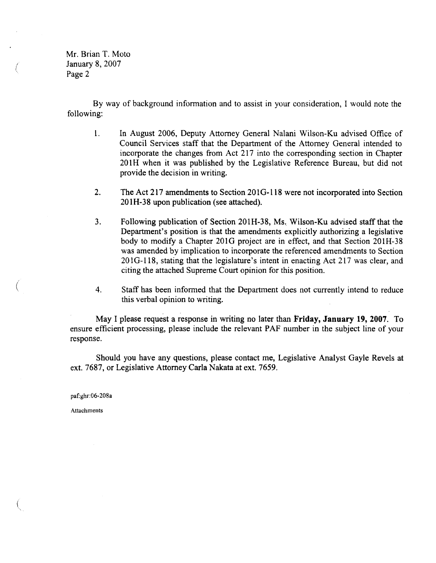Mr. Brian T. Moto January 8, 2007 Page 2

 $\left(\right)$ 

 $\left($ 

By way of background information and to assist in your consideration, I would note the following:

- 1. In August 2006, Deputy Attorney General Nalani Wilson-Ku advised Office of Council Services staff that the Department of the Attorney General intended to incorporate the changes from Act 217 into the corresponding section in Chapter 201H when it was published by the Legislative Reference Bureau, but did not provide the decision in writing.
- 2. The Act 217 amendments to Section 201G-118 were not incorporated into Section 201H-38 upon publication (see attached).
- 3. Following publication of Section 201H-38, Ms. Wilson-Ku advised staff that the Department's position is that the amendments explicitly authorizing a legislative body to modify a Chapter 201G project are in effect, and that Section 201H-38 was amended by implication to incorporate the referenced amendments to Section 201G-118, stating that the legislature's intent in enacting Act 217 was clear, and citing the attached Supreme Court opinion for this position.
- 4. Staff has been informed that the Department does not currently intend to reduce this verbal opinion to writing.

May I please request a response in writing no later than Friday, January 19, 2007. To ensure efficient processing, please include the relevant PAF number in the subject line of your response.

Should you have any questions, please contact me, Legislative Analyst Gayle Revels at ext. 7687, or Legislative Attorney Carla Nakata at ext. 7659.

paf:ghr:06-208a

Attachments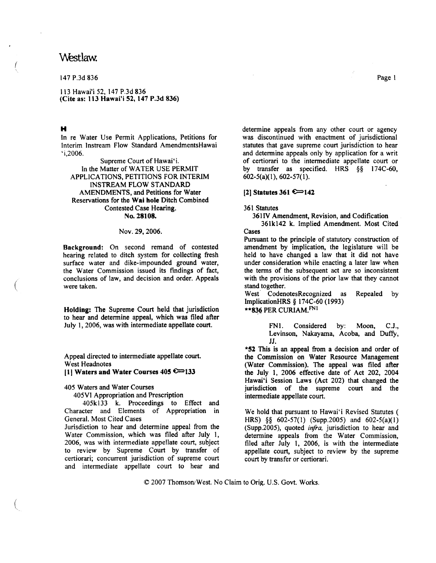# Westlaw.

147 P.3d 836

113 Hawai'i 52, 147 P.3d 836 (Cite as: 113 Hawai'i 52, 147 P.3d 836)

## H

(

(

(

In re Water Use Pennit Applications, Petitions for Interim Instream Flow Standard AmendmentsHawai 'i,2006.

Supreme Court of Hawai'i. In the Matter of WATER USE PERMIT APPLICA TIONS, PETITIONS FOR INTERIM INSTREAM FLOW STANDARD AMENDMENTS, and Petitions for Water Reservations for the Wai hole Ditch Combined Contested Case Hearing. No. 28108.

## Nov. 29, 2006.

Background: On second remand of contested hearing related to ditch system for collecting fresh surface water and dike-impounded ground water, the Water Commission issued its findings of fact, conclusions of law, and decision and order. Appeals were taken.

Holding: The Supreme Court held that jurisdiction to hear and detennine appeal, which was filed after July 1, 2006, was with intermediate appellate court.

Appeal directed to intermediate appellate court. West Headnotes

## (1) Waters and Water Courses  $405$   $\sim$  133

405 Waters and Water Courses

405VI Appropriation and Prescription

405kl33 k. Proceedings to Effect and Character and Elements of Appropriation in General. Most Cited Cases

Jurisdiction to hear and determine appeal from the Water Commission, which was filed after July 1, 2006, was with intermediate appellate court, subject to review by Supreme Court by transfer of certiorari; concurrent jurisdiction of supreme court and intermediate appellate court to hear and detennine appeals from any other court or agency was discontinued with enactment of jurisdictional statutes that gave supreme court jurisdiction to hear and determine appeals only by application for a writ of certiorari to the intennediate appellate court or by transfer as specified. HRS §§ I 74C-60,  $602-5(a)(1)$ ,  $602-57(1)$ .

## [2] Statutes 361 € 142

#### 361 Statutes

361lV Amendment, Revision, and Codification

361k142 k. Implied Amendment. Most Cited Cases

Pursuant to the principle of statutory construction of amendment by implication, the legislature will be held to have changed a law that it did not have under consideration while enacting a later law when the terms of the subsequent act are so inconsistent with the provisions of the prior law that they cannot stand together.

West CodenotesRecognized as Repealed by ImplicationHRS § 174C-60 (1993)

## \*\* 836 PER CURIAM. FNI

FNl. Considered by: Moon, C.J., Levinson, Nakayama, Acoba, and Duffy, JJ.

\*52 This is an appeal from a decision and order of the Commission on Water Resource Management (Water Commission). The appeal was filed after the July 1, 2006 effective date of Act 202, 2004 Hawai'i Session Laws (Act 202) that changed the jurisdiction of the supreme court and the intermediate appellate court.

We hold that pursuant to Hawai'i Revised Statutes ( HRS) §§ 602-57(1) (Supp.2005) and 602-5(a)(1) (Supp.2005), quoted *infra.* jurisdiction to hear and detennine appeals from the Water Commission, filed after July 1, 2006, is with the intermediate appellate court, subject to review by the supreme court by transfer or certiorari.

© 2007 Thomson/West. No Claim to Orig. U.S. Govt. Works.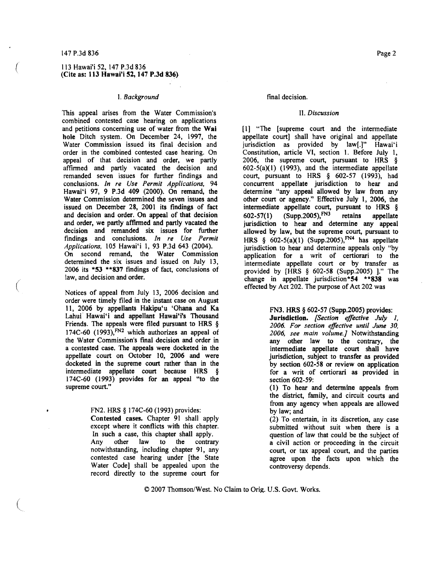### 147 P.3d 836

(

 $\left(\right)$ 

 $\left(\right)$ 

### 113 Hawai'i 52, 147 P.3d 836 (Cite as: 113 Hawai'i 52, 147 P.3d 836)

### I. *Background*

This appeal arises from the Water Commission's combined contested case hearing on applications and petitions concerning use of water from the Wai hole Ditch system. On December 24, 1997, the Water Commission issued its final decision and order in the combined contested case hearing. On appeal of that decision and order, we partly affirmed and partly vacated the decision and remanded seven issues for further findings and conclusions. *In re Use Permit Applications, 94*  Hawai'i 97, 9 P.3d 409 (2000). On remand, the Water Commission determined the seven issues and issued on December 28, 2001 its findings of fact and decision and order. On appeal of that decision and order, we partly affirmed and partly vacated the decision and remanded six issues for further findings and conclusions. *In re Use Permit Applications,* 105 Hawai'i 1, 93 P.3d 643 (2004). On second remand, the Water Commission determined the six issues and issued on July 13, 2006 its \*53 \*\*837 findings of fact, conclusions of law, and decision and order.

Notices of appeal from July 13, 2006 decision and order were timely filed in the instant case on August II, 2006 by appellants Hakipu'u 'Ohana and Ka Lahui Hawai'i and appellant Hawai'i's Thousand Friends. The appeals were filed pursuant to HRS § 174C-60 (1993), $FN2$  which authorizes an appeal of the Water Commission's fmal decision and order in a contested case. The appeals were docketed in the appellate court on October 10, 2006 and were docketed in the supreme court rather than in the intermediate appellate court because HRS § 174C-60 (1993) provides for an appeal "to the supreme court."

## FN2. HRS § 174C-60 (1993) provides:

Contested cases. Chapter 91 shall apply except where it conflicts with this chapter. In such a case, this chapter shall apply.<br>Any other law to the contrar Any other law to the contrary notwithstanding, including chapter 91, any contested case hearing under [the State Water Code] shall be appealed upon the record directly to the supreme court for

### final decision.

#### II. *Discussion*

[I] "The [supreme court and the intermediate appellate court] shall have original and appellate<br>jurisdiction as provided by law[.]" Hawai'i jurisdiction as provided by law[.]" Constitution, article VI, section l. Before July 1, 2006, the supreme court, pursuant to HRS §  $602-5(a)(1)$  (1993), and the intermediate appellate court, pursuant to HRS § 602-57 (1993), had concurrent appellate jurisdiction to hear and determine "any appeal allowed by law from any other court or agency." Effective July 1, 2006, the intermediate appellate court, pursuant to HRS §  $602-57(1)$  (Supp.2005),  $FN3$  retains appellate jurisdiction to hear and determine any appeal allowed by law, but the supreme court, pursuant to HRS §  $602-5(a)(1)$  (Supp.2005),<sup>FN4</sup> has appellate jurisdiction to hear and determine appeals only "by application for a writ of certiorari to the intermediate appellate court or by transfer as provided by [HRS § 602-58 (Supp.2005) ]." The change in appellate jurisdiction\*54 \*\*838 was effected by Act 202. The purpose of Act 202 was

#### FN3. HRS § 602-57 (Supp.2005) provides:

Jurisdiction. *[Section effective July* J, *2006. For section effective until June 30, 2006, see main volume.]* Notwithstanding any other law to the contrary, the intermediate appellate court shall have jurisdiction, subject to transfer as provided by section 602-58 or review on application for a writ of certiorari as provided in section 602-59:

(1) To hear and determine appeals from the district, family, and circuit courts and from any agency when appeals are allowed by law; and

(2) To entertain, in its discretion, any case submitted without suit when there is a question of law that could be the subject of a civil action or proceeding in the circuit court, or tax appeal court, and the parties agree upon the facts upon which the controversy depends.

© 2007 Thomson/West. No Claim to Orig. U.S. Govt. Works.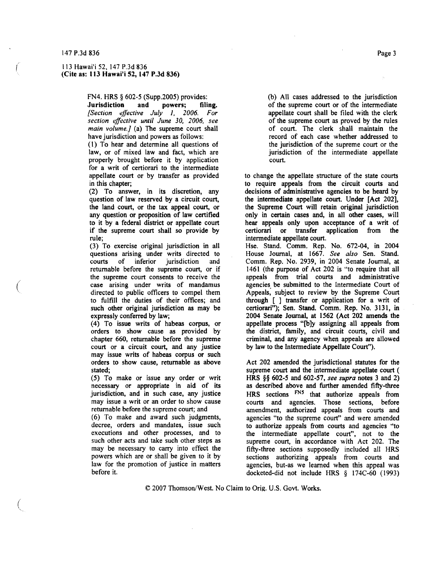(

 $\left(\right)$ 

### 113 Hawai'i 52, 147 P.3d 836 (Cite as: 113 Hawai'i 52, 147 P.3d 836)

FN4. HRS § 602-5 (Supp.2005) provides:<br>Jurisdiction and powers; filing.

Jurisdiction and powers; filing. *[Section effective July* 1. *2006. For section effective until June 30, 2006, see main volume.)* (a) The supreme court shall have jurisdiction and powers as follows:

(I) To hear and determine all questions of law, or of mixed law and fact, which are properly brought before it by application for a writ of certiorari to the intermediate appellate court or by transfer as provided in this chapter;

(2) To answer, in its discretion, any question of law reserved by a circuit court, the land court, or the tax appeal court, or any question or proposition of law certified to it by a federal district or appellate court if the supreme court shall so provide by rule;

(3) To exercise original jurisdiction in all questions arising under writs directed to<br>courts of inferior jurisdiction and of inferior jurisdiction returnable before the supreme court, or if the supreme court consents to receive the case arising under writs of mandamus directed to public officers to compel them to fulfill the duties of their offices; and such other original jurisdiction as may be expressly conferred by law;

(4) To issue writs of habeas corpus, or orders to show cause as provided by chapter 660, returnable before the supreme court or a circuit court, and any justice may issue writs of habeas corpus or such orders to show cause, returnable as above stated;

(5) To make or issue any order or writ necessary or appropriate in aid of its jurisdiction, and in such case, any justice may issue a writ or an order to show cause returnable before the supreme court; and

(6) To make and award such judgments, decree, orders and mandates, issue such executions and other processes, and to such other acts and take such other steps as may be necessary to carry into effect the powers which are or shall be given to it by law for the promotion of justice in matters before it.

(b) All cases addressed to the jurisdiction of the supreme court or of the intermediate appellate court shall be filed with the clerk of the supreme court as proved by the rules of court. The clerk shall maintain the record of each case whether addressed to the jurisdiction of the supreme court or the jurisdiction of the intermediate appellate court.

to change the appellate structure of the state courts to require appeals from the circuit courts and decisions of administrative agencies to be heard by the intermediate appellate court. Under [Act 202], the Supreme Court will retain original jurisdiction only in certain cases and, in all other cases, will hear appeals only upon acceptance of a writ of certiorari or transfer application from the application from the intermediate appellate court.

Hse. Stand. Comm. Rep. No. 672-04, in 2004 House Journal, at 1667. *See also* Sen. Stand. Comm. Rep. No. 2939, in 2004 Senate Journal, at 1461 (the purpose of Act 202 is "to require that all appeals from trial courts and administrative agencies. be submitted to the Intermediate Court of Appeals, subject to review by the Supreme Court through [ ] transfer or application for a writ of certiorari"); Sen. Stand. Comm. Rep. No. 3131, in 2004 Senate Journal, at 1562 (Act 202 amends the appellate process "[b]y assigning all appeals from the district, family, and circuit courts, civil and criminal, and any agency when appeals are allowed by law to the Intermediate Appellate Court").

Act 202 amended the jurisdictional statutes for the supreme court and the intermediate appellate court ( HRS §§ 602-5 and 602-57, *see supra* notes 3 and 2) as described above and further amended fifty-three HRS sections FNS that authorize appeals from courts and agencies. Those sections, before amendment, authorized appeals from courts and agencies "to the supreme court" and were amended to authorize appeals from courts and agencies "to the intermediate appellate court", not to the supreme court, in accordance with Act 202. The fifty-three sections supposedly included al\ HRS sections authorizing appeals from courts and agencies, but-as we learned when this appeal was docketed-did not include HRS § 174C-60 (1993)

 $C$  2007 Thomson/West. No Claim to Orig. U.S. Govt. Works.